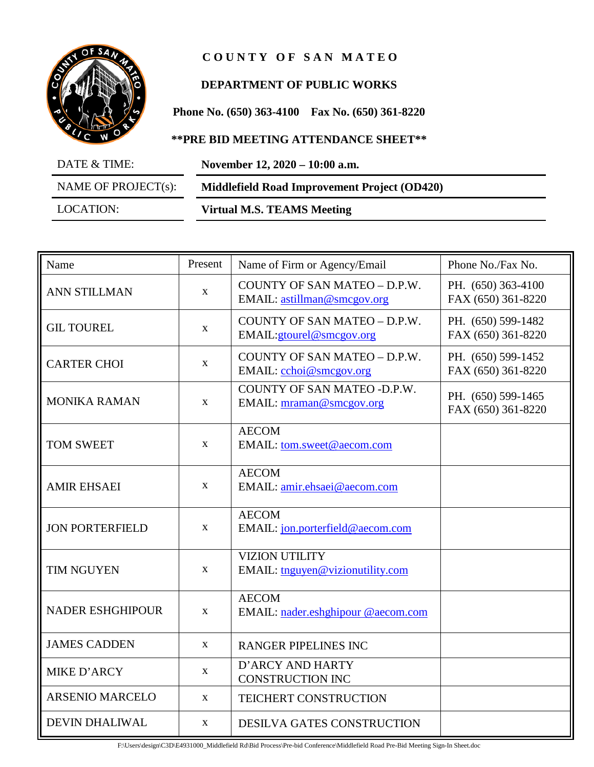

## **C O U N T Y O F S A N M A T E O**

## **DEPARTMENT OF PUBLIC WORKS**

**Phone No. (650) 363-4100 Fax No. (650) 361-8220**

**\*\*PRE BID MEETING ATTENDANCE SHEET\*\***

| DATE & TIME:            | November 12, 2020 – 10:00 a.m.               |  |
|-------------------------|----------------------------------------------|--|
| NAME OF PROJECT $(s)$ : | Middlefield Road Improvement Project (OD420) |  |
| LOCATION:               | <b>Virtual M.S. TEAMS Meeting</b>            |  |

| Name                    | Present      | Name of Firm or Agency/Email                                | Phone No./Fax No.                        |
|-------------------------|--------------|-------------------------------------------------------------|------------------------------------------|
| <b>ANN STILLMAN</b>     | $\mathbf{X}$ | COUNTY OF SAN MATEO - D.P.W.<br>EMAIL: astillman@smcgov.org | PH. (650) 363-4100<br>FAX (650) 361-8220 |
| <b>GIL TOUREL</b>       | $\mathbf X$  | COUNTY OF SAN MATEO - D.P.W.<br>EMAIL:gtourel@smcgov.org    | PH. (650) 599-1482<br>FAX (650) 361-8220 |
| <b>CARTER CHOI</b>      | $\mathbf X$  | COUNTY OF SAN MATEO - D.P.W.<br>EMAIL: cchoi@smcgov.org     | PH. (650) 599-1452<br>FAX (650) 361-8220 |
| <b>MONIKA RAMAN</b>     | $\mathbf{X}$ | COUNTY OF SAN MATEO -D.P.W.<br>EMAIL: mraman@smcgov.org     | PH. (650) 599-1465<br>FAX (650) 361-8220 |
| <b>TOM SWEET</b>        | $\mathbf{X}$ | <b>AECOM</b><br>EMAIL: tom.sweet@aecom.com                  |                                          |
| <b>AMIR EHSAEI</b>      | X            | <b>AECOM</b><br>EMAIL: amir.ehsaei@aecom.com                |                                          |
| <b>JON PORTERFIELD</b>  | $\mathbf{X}$ | <b>AECOM</b><br>EMAIL: jon.porterfield@aecom.com            |                                          |
| <b>TIM NGUYEN</b>       | $\mathbf X$  | <b>VIZION UTILITY</b><br>EMAIL: tnguyen@vizionutility.com   |                                          |
| <b>NADER ESHGHIPOUR</b> | $\mathbf{x}$ | <b>AECOM</b><br>EMAIL: nader.eshghipour @aecom.com          |                                          |
| <b>JAMES CADDEN</b>     | X            | <b>RANGER PIPELINES INC</b>                                 |                                          |
| <b>MIKE D'ARCY</b>      | X            | D'ARCY AND HARTY<br><b>CONSTRUCTION INC</b>                 |                                          |
| <b>ARSENIO MARCELO</b>  | $\mathbf{X}$ | TEICHERT CONSTRUCTION                                       |                                          |
| <b>DEVIN DHALIWAL</b>   | $\mathbf X$  | DESILVA GATES CONSTRUCTION                                  |                                          |

F:\Users\design\C3D\E4931000\_Middlefield Rd\Bid Process\Pre-bid Conference\Middlefield Road Pre-Bid Meeting Sign-In Sheet.doc